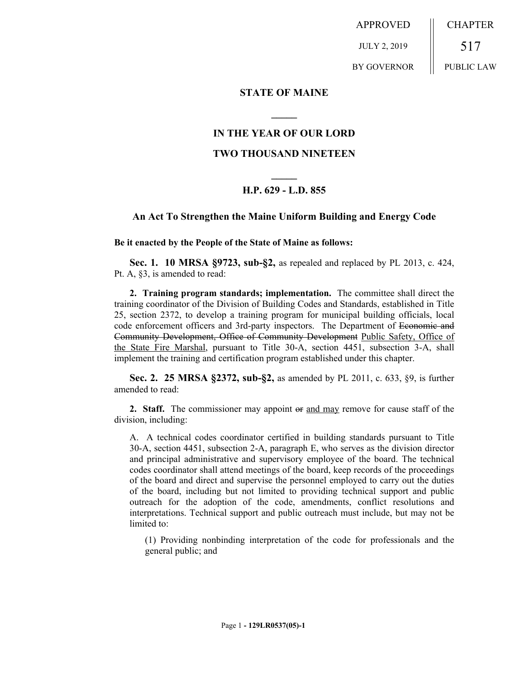APPROVED JULY 2, 2019 BY GOVERNOR CHAPTER 517 PUBLIC LAW

### **STATE OF MAINE**

## **IN THE YEAR OF OUR LORD**

**\_\_\_\_\_**

## **TWO THOUSAND NINETEEN**

# **\_\_\_\_\_ H.P. 629 - L.D. 855**

#### **An Act To Strengthen the Maine Uniform Building and Energy Code**

**Be it enacted by the People of the State of Maine as follows:**

**Sec. 1. 10 MRSA §9723, sub-§2,** as repealed and replaced by PL 2013, c. 424, Pt. A, §3, is amended to read:

**2. Training program standards; implementation.** The committee shall direct the training coordinator of the Division of Building Codes and Standards, established in Title 25, section 2372, to develop a training program for municipal building officials, local code enforcement officers and 3rd-party inspectors. The Department of Economic and Community Development, Office of Community Development Public Safety, Office of the State Fire Marshal, pursuant to Title 30-A, section 4451, subsection 3-A, shall implement the training and certification program established under this chapter.

**Sec. 2. 25 MRSA §2372, sub-§2,** as amended by PL 2011, c. 633, §9, is further amended to read:

**2. Staff.** The commissioner may appoint or and may remove for cause staff of the division, including:

A. A technical codes coordinator certified in building standards pursuant to Title 30-A, section 4451, subsection 2-A, paragraph E, who serves as the division director and principal administrative and supervisory employee of the board. The technical codes coordinator shall attend meetings of the board, keep records of the proceedings of the board and direct and supervise the personnel employed to carry out the duties of the board, including but not limited to providing technical support and public outreach for the adoption of the code, amendments, conflict resolutions and interpretations. Technical support and public outreach must include, but may not be limited to:

(1) Providing nonbinding interpretation of the code for professionals and the general public; and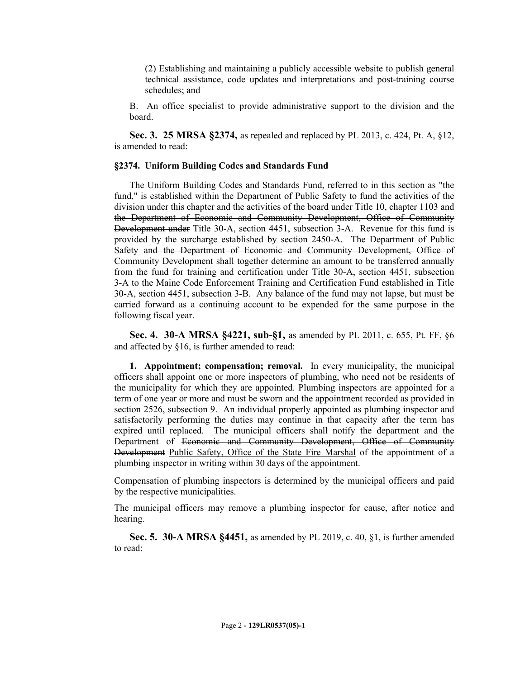(2) Establishing and maintaining a publicly accessible website to publish general technical assistance, code updates and interpretations and post-training course schedules; and

B. An office specialist to provide administrative support to the division and the board.

**Sec. 3. 25 MRSA §2374,** as repealed and replaced by PL 2013, c. 424, Pt. A, §12, is amended to read:

#### **§2374. Uniform Building Codes and Standards Fund**

The Uniform Building Codes and Standards Fund, referred to in this section as "the fund," is established within the Department of Public Safety to fund the activities of the division under this chapter and the activities of the board under Title 10, chapter 1103 and the Department of Economic and Community Development, Office of Community Development under Title 30-A, section 4451, subsection 3-A. Revenue for this fund is provided by the surcharge established by section 2450-A. The Department of Public Safety and the Department of Economic and Community Development, Office of Community Development shall together determine an amount to be transferred annually from the fund for training and certification under Title 30-A, section 4451, subsection 3-A to the Maine Code Enforcement Training and Certification Fund established in Title 30-A, section 4451, subsection 3-B. Any balance of the fund may not lapse, but must be carried forward as a continuing account to be expended for the same purpose in the following fiscal year.

**Sec. 4. 30-A MRSA §4221, sub-§1,** as amended by PL 2011, c. 655, Pt. FF, §6 and affected by §16, is further amended to read:

**1. Appointment; compensation; removal.** In every municipality, the municipal officers shall appoint one or more inspectors of plumbing, who need not be residents of the municipality for which they are appointed. Plumbing inspectors are appointed for a term of one year or more and must be sworn and the appointment recorded as provided in section 2526, subsection 9. An individual properly appointed as plumbing inspector and satisfactorily performing the duties may continue in that capacity after the term has expired until replaced. The municipal officers shall notify the department and the Department of Economic and Community Development, Office of Community Development Public Safety, Office of the State Fire Marshal of the appointment of a plumbing inspector in writing within 30 days of the appointment.

Compensation of plumbing inspectors is determined by the municipal officers and paid by the respective municipalities.

The municipal officers may remove a plumbing inspector for cause, after notice and hearing.

**Sec. 5. 30-A MRSA §4451,** as amended by PL 2019, c. 40, §1, is further amended to read: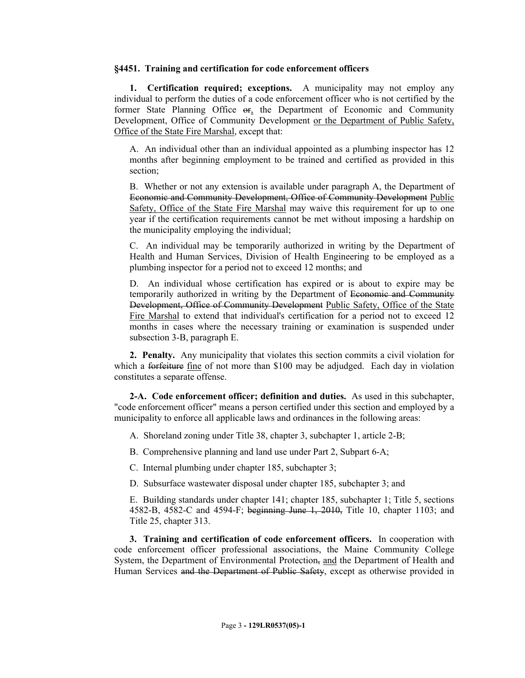#### **§4451. Training and certification for code enforcement officers**

**1. Certification required; exceptions.** A municipality may not employ any individual to perform the duties of a code enforcement officer who is not certified by the former State Planning Office or, the Department of Economic and Community Development, Office of Community Development or the Department of Public Safety, Office of the State Fire Marshal, except that:

A. An individual other than an individual appointed as a plumbing inspector has 12 months after beginning employment to be trained and certified as provided in this section;

B. Whether or not any extension is available under paragraph A, the Department of Economic and Community Development, Office of Community Development Public Safety, Office of the State Fire Marshal may waive this requirement for up to one year if the certification requirements cannot be met without imposing a hardship on the municipality employing the individual;

C. An individual may be temporarily authorized in writing by the Department of Health and Human Services, Division of Health Engineering to be employed as a plumbing inspector for a period not to exceed 12 months; and

D. An individual whose certification has expired or is about to expire may be temporarily authorized in writing by the Department of Economic and Community Development, Office of Community Development Public Safety, Office of the State Fire Marshal to extend that individual's certification for a period not to exceed 12 months in cases where the necessary training or examination is suspended under subsection 3-B, paragraph E.

**2. Penalty.** Any municipality that violates this section commits a civil violation for which a forfeiture fine of not more than \$100 may be adjudged. Each day in violation constitutes a separate offense.

**2-A. Code enforcement officer; definition and duties.** As used in this subchapter, "code enforcement officer" means a person certified under this section and employed by a municipality to enforce all applicable laws and ordinances in the following areas:

- A. Shoreland zoning under Title 38, chapter 3, subchapter 1, article 2-B;
- B. Comprehensive planning and land use under Part 2, Subpart 6-A;
- C. Internal plumbing under chapter 185, subchapter 3;
- D. Subsurface wastewater disposal under chapter 185, subchapter 3; and

E. Building standards under chapter 141; chapter 185, subchapter 1; Title 5, sections 4582-B, 4582-C and 4594-F; beginning June 1, 2010, Title 10, chapter 1103; and Title 25, chapter 313.

**3. Training and certification of code enforcement officers.** In cooperation with code enforcement officer professional associations, the Maine Community College System, the Department of Environmental Protection, and the Department of Health and Human Services and the Department of Public Safety, except as otherwise provided in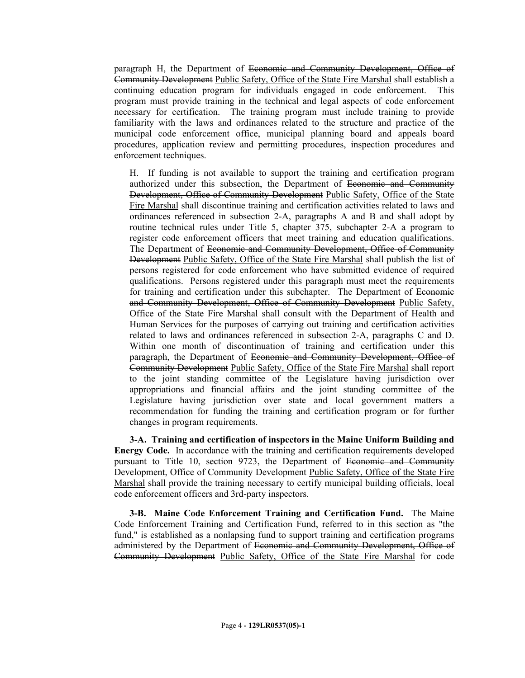paragraph H, the Department of Economic and Community Development, Office of Community Development Public Safety, Office of the State Fire Marshal shall establish a continuing education program for individuals engaged in code enforcement. This program must provide training in the technical and legal aspects of code enforcement necessary for certification. The training program must include training to provide familiarity with the laws and ordinances related to the structure and practice of the municipal code enforcement office, municipal planning board and appeals board procedures, application review and permitting procedures, inspection procedures and enforcement techniques.

H. If funding is not available to support the training and certification program authorized under this subsection, the Department of Economic and Community Development, Office of Community Development Public Safety, Office of the State Fire Marshal shall discontinue training and certification activities related to laws and ordinances referenced in subsection 2-A, paragraphs A and B and shall adopt by routine technical rules under Title 5, chapter 375, subchapter 2-A a program to register code enforcement officers that meet training and education qualifications. The Department of Economic and Community Development, Office of Community Development Public Safety, Office of the State Fire Marshal shall publish the list of persons registered for code enforcement who have submitted evidence of required qualifications. Persons registered under this paragraph must meet the requirements for training and certification under this subchapter. The Department of Economic and Community Development, Office of Community Development Public Safety, Office of the State Fire Marshal shall consult with the Department of Health and Human Services for the purposes of carrying out training and certification activities related to laws and ordinances referenced in subsection 2-A, paragraphs C and D. Within one month of discontinuation of training and certification under this paragraph, the Department of Economic and Community Development, Office of Community Development Public Safety, Office of the State Fire Marshal shall report to the joint standing committee of the Legislature having jurisdiction over appropriations and financial affairs and the joint standing committee of the Legislature having jurisdiction over state and local government matters a recommendation for funding the training and certification program or for further changes in program requirements.

**3-A. Training and certification of inspectors in the Maine Uniform Building and Energy Code.** In accordance with the training and certification requirements developed pursuant to Title 10, section 9723, the Department of Economic and Community Development, Office of Community Development Public Safety, Office of the State Fire Marshal shall provide the training necessary to certify municipal building officials, local code enforcement officers and 3rd-party inspectors.

**3-B. Maine Code Enforcement Training and Certification Fund.** The Maine Code Enforcement Training and Certification Fund, referred to in this section as "the fund," is established as a nonlapsing fund to support training and certification programs administered by the Department of Economic and Community Development, Office of Community Development Public Safety, Office of the State Fire Marshal for code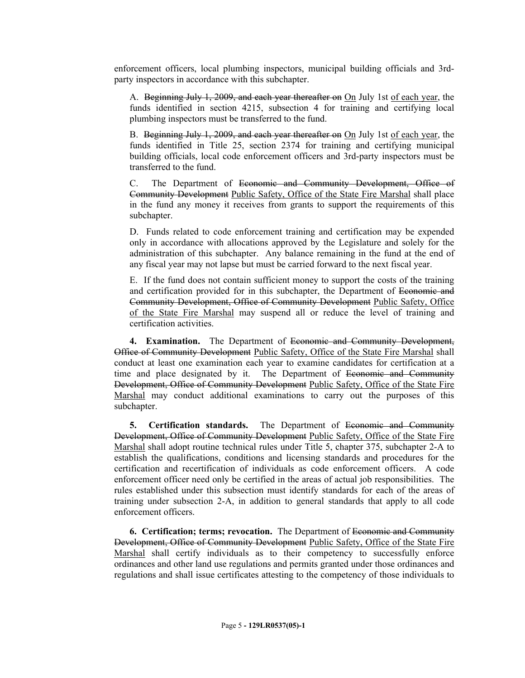enforcement officers, local plumbing inspectors, municipal building officials and 3rdparty inspectors in accordance with this subchapter.

A. Beginning July 1, 2009, and each year thereafter on On July 1st of each year, the funds identified in section 4215, subsection 4 for training and certifying local plumbing inspectors must be transferred to the fund.

B. Beginning July 1, 2009, and each year thereafter on On July 1st of each year, the funds identified in Title 25, section 2374 for training and certifying municipal building officials, local code enforcement officers and 3rd-party inspectors must be transferred to the fund.

C. The Department of Economic and Community Development, Office of Community Development Public Safety, Office of the State Fire Marshal shall place in the fund any money it receives from grants to support the requirements of this subchapter.

D. Funds related to code enforcement training and certification may be expended only in accordance with allocations approved by the Legislature and solely for the administration of this subchapter. Any balance remaining in the fund at the end of any fiscal year may not lapse but must be carried forward to the next fiscal year.

E. If the fund does not contain sufficient money to support the costs of the training and certification provided for in this subchapter, the Department of Economic and Community Development, Office of Community Development Public Safety, Office of the State Fire Marshal may suspend all or reduce the level of training and certification activities.

**4. Examination.** The Department of Economic and Community Development, Office of Community Development Public Safety, Office of the State Fire Marshal shall conduct at least one examination each year to examine candidates for certification at a time and place designated by it. The Department of Economic and Community Development, Office of Community Development Public Safety, Office of the State Fire Marshal may conduct additional examinations to carry out the purposes of this subchapter.

**5. Certification standards.** The Department of Economic and Community Development, Office of Community Development Public Safety, Office of the State Fire Marshal shall adopt routine technical rules under Title 5, chapter 375, subchapter 2-A to establish the qualifications, conditions and licensing standards and procedures for the certification and recertification of individuals as code enforcement officers. A code enforcement officer need only be certified in the areas of actual job responsibilities. The rules established under this subsection must identify standards for each of the areas of training under subsection 2-A, in addition to general standards that apply to all code enforcement officers.

**6. Certification; terms; revocation.** The Department of Economic and Community Development, Office of Community Development Public Safety, Office of the State Fire Marshal shall certify individuals as to their competency to successfully enforce ordinances and other land use regulations and permits granted under those ordinances and regulations and shall issue certificates attesting to the competency of those individuals to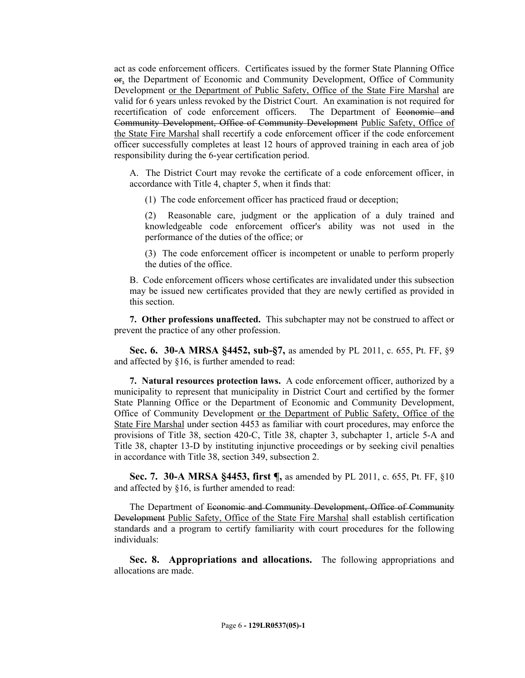act as code enforcement officers. Certificates issued by the former State Planning Office or, the Department of Economic and Community Development, Office of Community Development or the Department of Public Safety, Office of the State Fire Marshal are valid for 6 years unless revoked by the District Court. An examination is not required for recertification of code enforcement officers. The Department of Economic and Community Development, Office of Community Development Public Safety, Office of the State Fire Marshal shall recertify a code enforcement officer if the code enforcement officer successfully completes at least 12 hours of approved training in each area of job responsibility during the 6-year certification period.

A. The District Court may revoke the certificate of a code enforcement officer, in accordance with Title 4, chapter 5, when it finds that:

(1) The code enforcement officer has practiced fraud or deception;

(2) Reasonable care, judgment or the application of a duly trained and knowledgeable code enforcement officer's ability was not used in the performance of the duties of the office; or

(3) The code enforcement officer is incompetent or unable to perform properly the duties of the office.

B. Code enforcement officers whose certificates are invalidated under this subsection may be issued new certificates provided that they are newly certified as provided in this section.

**7. Other professions unaffected.** This subchapter may not be construed to affect or prevent the practice of any other profession.

**Sec. 6. 30-A MRSA §4452, sub-§7,** as amended by PL 2011, c. 655, Pt. FF, §9 and affected by §16, is further amended to read:

**7. Natural resources protection laws.** A code enforcement officer, authorized by a municipality to represent that municipality in District Court and certified by the former State Planning Office or the Department of Economic and Community Development, Office of Community Development or the Department of Public Safety, Office of the State Fire Marshal under section 4453 as familiar with court procedures, may enforce the provisions of Title 38, section 420-C, Title 38, chapter 3, subchapter 1, article 5-A and Title 38, chapter 13-D by instituting injunctive proceedings or by seeking civil penalties in accordance with Title 38, section 349, subsection 2.

**Sec. 7. 30-A MRSA §4453, first ¶,** as amended by PL 2011, c. 655, Pt. FF, §10 and affected by §16, is further amended to read:

The Department of Economic and Community Development, Office of Community Development Public Safety, Office of the State Fire Marshal shall establish certification standards and a program to certify familiarity with court procedures for the following individuals:

**Sec. 8. Appropriations and allocations.** The following appropriations and allocations are made.